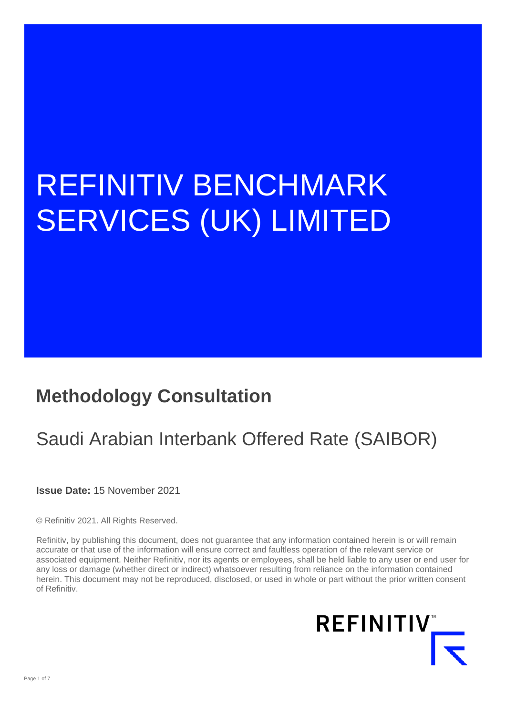# REFINITIV BENCHMARK SERVICES (UK) LIMITED

### **Methodology Consultation**

## Saudi Arabian Interbank Offered Rate (SAIBOR)

**Issue Date:** 15 November 2021

© Refinitiv 2021. All Rights Reserved.

Refinitiv, by publishing this document, does not guarantee that any information contained herein is or will remain accurate or that use of the information will ensure correct and faultless operation of the relevant service or associated equipment. Neither Refinitiv, nor its agents or employees, shall be held liable to any user or end user for any loss or damage (whether direct or indirect) whatsoever resulting from reliance on the information contained herein. This document may not be reproduced, disclosed, or used in whole or part without the prior written consent of Refinitiv.

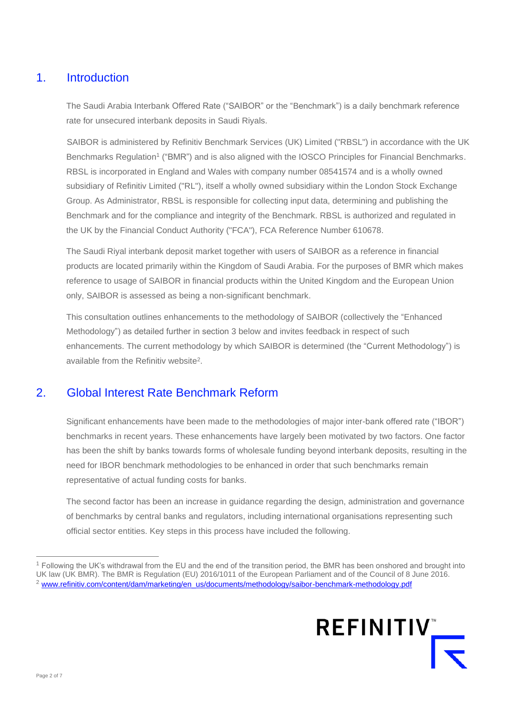#### 1. Introduction

The Saudi Arabia Interbank Offered Rate ("SAIBOR" or the "Benchmark") is a daily benchmark reference rate for unsecured interbank deposits in Saudi Riyals.

SAIBOR is administered by Refinitiv Benchmark Services (UK) Limited ("RBSL") in accordance with the UK Benchmarks Regulation<sup>1</sup> ("BMR") and is also aligned with the IOSCO Principles for Financial Benchmarks. RBSL is incorporated in England and Wales with company number 08541574 and is a wholly owned subsidiary of Refinitiv Limited ("RL"), itself a wholly owned subsidiary within the London Stock Exchange Group. As Administrator, RBSL is responsible for collecting input data, determining and publishing the Benchmark and for the compliance and integrity of the Benchmark. RBSL is authorized and regulated in the UK by the Financial Conduct Authority ("FCA"), FCA Reference Number 610678.

The Saudi Riyal interbank deposit market together with users of SAIBOR as a reference in financial products are located primarily within the Kingdom of Saudi Arabia. For the purposes of BMR which makes reference to usage of SAIBOR in financial products within the United Kingdom and the European Union only, SAIBOR is assessed as being a non-significant benchmark.

This consultation outlines enhancements to the methodology of SAIBOR (collectively the "Enhanced Methodology") as detailed further in section 3 below and invites feedback in respect of such enhancements. The current methodology by which SAIBOR is determined (the "Current Methodology") is available from the Refinitiv website<sup>2</sup>.

#### 2. Global Interest Rate Benchmark Reform

Significant enhancements have been made to the methodologies of major inter-bank offered rate ("IBOR") benchmarks in recent years. These enhancements have largely been motivated by two factors. One factor has been the shift by banks towards forms of wholesale funding beyond interbank deposits, resulting in the need for IBOR benchmark methodologies to be enhanced in order that such benchmarks remain representative of actual funding costs for banks.

The second factor has been an increase in guidance regarding the design, administration and governance of benchmarks by central banks and regulators, including international organisations representing such official sector entities. Key steps in this process have included the following.

<sup>1</sup> Following the UK's withdrawal from the EU and the end of the transition period, the BMR has been onshored and brought into UK law (UK BMR). The BMR is Regulation (EU) 2016/1011 of the European Parliament and of the Council of 8 June 2016. <sup>2</sup> www.refinitiv.com/content/dam/marketing/en\_us/documents/methodology/saibor-benchmark-methodology.pdf

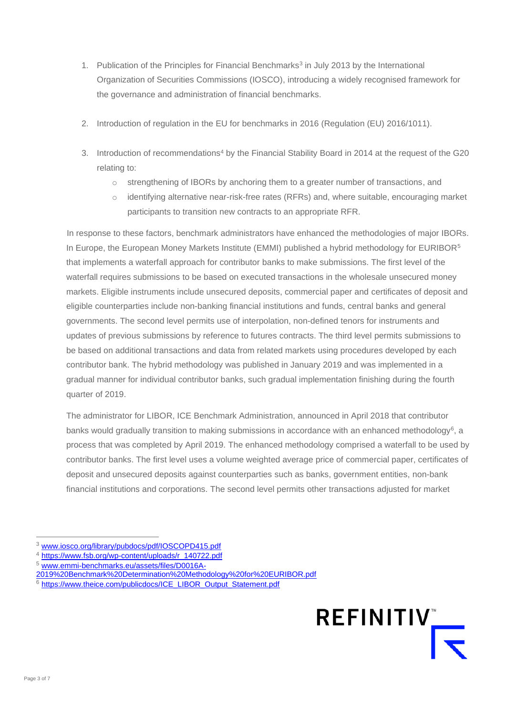- 1. Publication of the Principles for Financial Benchmarks<sup>3</sup> in July 2013 by the International Organization of Securities Commissions (IOSCO), introducing a widely recognised framework for the governance and administration of financial benchmarks.
- 2. Introduction of regulation in the EU for benchmarks in 2016 (Regulation (EU) 2016/1011).
- 3. Introduction of recommendations<sup>4</sup> by the Financial Stability Board in 2014 at the request of the G20 relating to:
	- o strengthening of IBORs by anchoring them to a greater number of transactions, and
	- o identifying alternative near-risk-free rates (RFRs) and, where suitable, encouraging market participants to transition new contracts to an appropriate RFR.

In response to these factors, benchmark administrators have enhanced the methodologies of major IBORs. In Europe, the European Money Markets Institute (EMMI) published a hybrid methodology for EURIBOR<sup>5</sup> that implements a waterfall approach for contributor banks to make submissions. The first level of the waterfall requires submissions to be based on executed transactions in the wholesale unsecured money markets. Eligible instruments include unsecured deposits, commercial paper and certificates of deposit and eligible counterparties include non-banking financial institutions and funds, central banks and general governments. The second level permits use of interpolation, non-defined tenors for instruments and updates of previous submissions by reference to futures contracts. The third level permits submissions to be based on additional transactions and data from related markets using procedures developed by each contributor bank. The hybrid methodology was published in January 2019 and was implemented in a gradual manner for individual contributor banks, such gradual implementation finishing during the fourth quarter of 2019.

The administrator for LIBOR, ICE Benchmark Administration, announced in April 2018 that contributor banks would gradually transition to making submissions in accordance with an enhanced methodology<sup>6</sup>, a process that was completed by April 2019. The enhanced methodology comprised a waterfall to be used by contributor banks. The first level uses a volume weighted average price of commercial paper, certificates of deposit and unsecured deposits against counterparties such as banks, government entities, non-bank financial institutions and corporations. The second level permits other transactions adjusted for market

- <sup>4</sup> [https://www.fsb.org/wp-content/uploads/r\\_140722.pdf](https://www.fsb.org/wp-content/uploads/r_140722.pdf)
- <sup>5</sup> [www.emmi-benchmarks.eu/assets/files/D0016A-](http://www.emmi-benchmarks.eu/assets/files/D0016A-2019%20Benchmark%20Determination%20Methodology%20for%20EURIBOR.pdf)

<sup>6</sup> [https://www.theice.com/publicdocs/ICE\\_LIBOR\\_Output\\_Statement.pdf](https://www.theice.com/publicdocs/ICE_LIBOR_Output_Statement.pdf)



<sup>3</sup> [www.iosco.org/library/pubdocs/pdf/IOSCOPD415.pdf](http://www.iosco.org/library/pubdocs/pdf/IOSCOPD415.pdf)

[<sup>2019%20</sup>Benchmark%20Determination%20Methodology%20for%20EURIBOR.pdf](http://www.emmi-benchmarks.eu/assets/files/D0016A-2019%20Benchmark%20Determination%20Methodology%20for%20EURIBOR.pdf)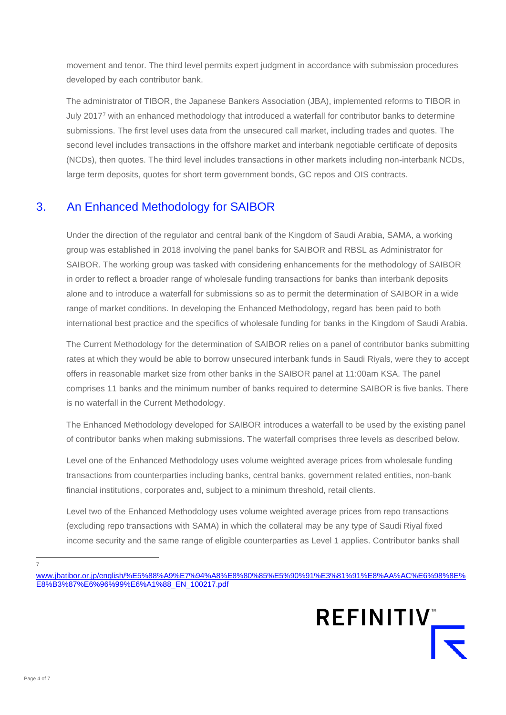movement and tenor. The third level permits expert judgment in accordance with submission procedures developed by each contributor bank.

The administrator of TIBOR, the Japanese Bankers Association (JBA), implemented reforms to TIBOR in July 2017<sup>7</sup> with an enhanced methodology that introduced a waterfall for contributor banks to determine submissions. The first level uses data from the unsecured call market, including trades and quotes. The second level includes transactions in the offshore market and interbank negotiable certificate of deposits (NCDs), then quotes. The third level includes transactions in other markets including non-interbank NCDs, large term deposits, quotes for short term government bonds, GC repos and OIS contracts.

#### 3. An Enhanced Methodology for SAIBOR

Under the direction of the regulator and central bank of the Kingdom of Saudi Arabia, SAMA, a working group was established in 2018 involving the panel banks for SAIBOR and RBSL as Administrator for SAIBOR. The working group was tasked with considering enhancements for the methodology of SAIBOR in order to reflect a broader range of wholesale funding transactions for banks than interbank deposits alone and to introduce a waterfall for submissions so as to permit the determination of SAIBOR in a wide range of market conditions. In developing the Enhanced Methodology, regard has been paid to both international best practice and the specifics of wholesale funding for banks in the Kingdom of Saudi Arabia.

The Current Methodology for the determination of SAIBOR relies on a panel of contributor banks submitting rates at which they would be able to borrow unsecured interbank funds in Saudi Riyals, were they to accept offers in reasonable market size from other banks in the SAIBOR panel at 11:00am KSA. The panel comprises 11 banks and the minimum number of banks required to determine SAIBOR is five banks. There is no waterfall in the Current Methodology.

The Enhanced Methodology developed for SAIBOR introduces a waterfall to be used by the existing panel of contributor banks when making submissions. The waterfall comprises three levels as described below.

Level one of the Enhanced Methodology uses volume weighted average prices from wholesale funding transactions from counterparties including banks, central banks, government related entities, non-bank financial institutions, corporates and, subject to a minimum threshold, retail clients.

Level two of the Enhanced Methodology uses volume weighted average prices from repo transactions (excluding repo transactions with SAMA) in which the collateral may be any type of Saudi Riyal fixed income security and the same range of eligible counterparties as Level 1 applies. Contributor banks shall

7

[www.jbatibor.or.jp/english/%E5%88%A9%E7%94%A8%E8%80%85%E5%90%91%E3%81%91%E8%AA%AC%E6%98%8E%](http://www.jbatibor.or.jp/english/%E5%88%A9%E7%94%A8%E8%80%85%E5%90%91%E3%81%91%E8%AA%AC%E6%98%8E%E8%B3%87%E6%96%99%E6%A1%88_EN_100217.pdf) [E8%B3%87%E6%96%99%E6%A1%88\\_EN\\_100217.pdf](http://www.jbatibor.or.jp/english/%E5%88%A9%E7%94%A8%E8%80%85%E5%90%91%E3%81%91%E8%AA%AC%E6%98%8E%E8%B3%87%E6%96%99%E6%A1%88_EN_100217.pdf)

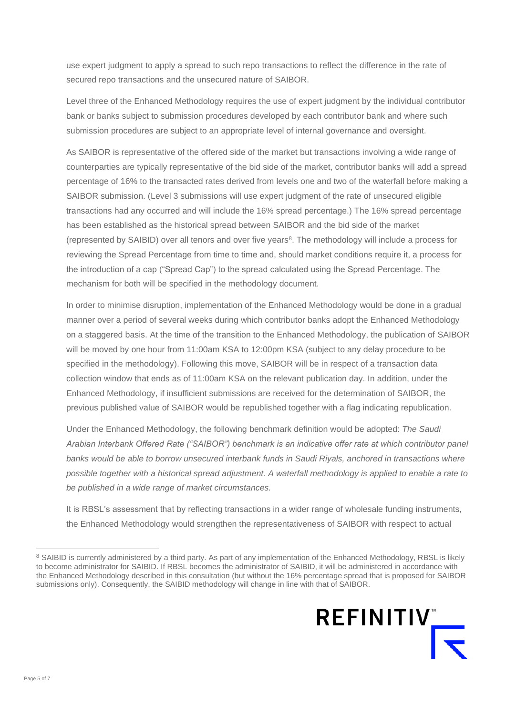use expert judgment to apply a spread to such repo transactions to reflect the difference in the rate of secured repo transactions and the unsecured nature of SAIBOR.

Level three of the Enhanced Methodology requires the use of expert judgment by the individual contributor bank or banks subject to submission procedures developed by each contributor bank and where such submission procedures are subject to an appropriate level of internal governance and oversight.

As SAIBOR is representative of the offered side of the market but transactions involving a wide range of counterparties are typically representative of the bid side of the market, contributor banks will add a spread percentage of 16% to the transacted rates derived from levels one and two of the waterfall before making a SAIBOR submission. (Level 3 submissions will use expert judgment of the rate of unsecured eligible transactions had any occurred and will include the 16% spread percentage.) The 16% spread percentage has been established as the historical spread between SAIBOR and the bid side of the market (represented by SAIBID) over all tenors and over five years<sup>8</sup>. The methodology will include a process for reviewing the Spread Percentage from time to time and, should market conditions require it, a process for the introduction of a cap ("Spread Cap") to the spread calculated using the Spread Percentage. The mechanism for both will be specified in the methodology document.

In order to minimise disruption, implementation of the Enhanced Methodology would be done in a gradual manner over a period of several weeks during which contributor banks adopt the Enhanced Methodology on a staggered basis. At the time of the transition to the Enhanced Methodology, the publication of SAIBOR will be moved by one hour from 11:00am KSA to 12:00pm KSA (subject to any delay procedure to be specified in the methodology). Following this move, SAIBOR will be in respect of a transaction data collection window that ends as of 11:00am KSA on the relevant publication day. In addition, under the Enhanced Methodology, if insufficient submissions are received for the determination of SAIBOR, the previous published value of SAIBOR would be republished together with a flag indicating republication.

Under the Enhanced Methodology, the following benchmark definition would be adopted: *The Saudi Arabian Interbank Offered Rate ("SAIBOR") benchmark is an indicative offer rate at which contributor panel banks would be able to borrow unsecured interbank funds in Saudi Riyals, anchored in transactions where possible together with a historical spread adjustment. A waterfall methodology is applied to enable a rate to be published in a wide range of market circumstances.*

It is RBSL's assessment that by reflecting transactions in a wider range of wholesale funding instruments, the Enhanced Methodology would strengthen the representativeness of SAIBOR with respect to actual

<sup>&</sup>lt;sup>8</sup> SAIBID is currently administered by a third party. As part of any implementation of the Enhanced Methodology, RBSL is likely to become administrator for SAIBID. If RBSL becomes the administrator of SAIBID, it will be administered in accordance with the Enhanced Methodology described in this consultation (but without the 16% percentage spread that is proposed for SAIBOR submissions only). Consequently, the SAIBID methodology will change in line with that of SAIBOR.

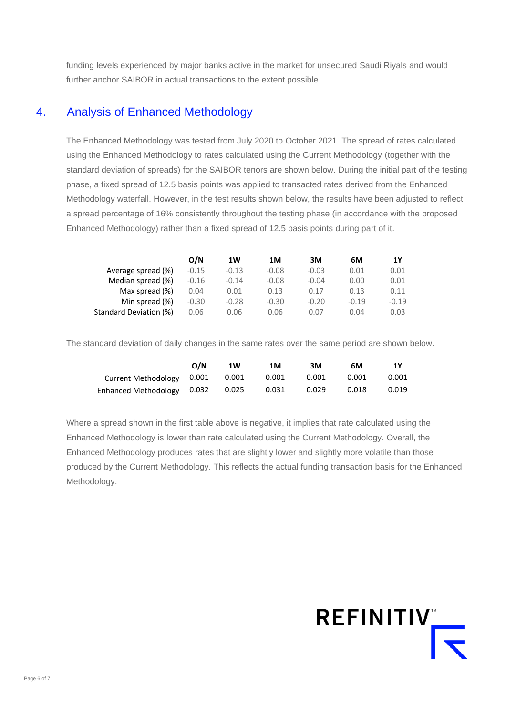funding levels experienced by major banks active in the market for unsecured Saudi Riyals and would further anchor SAIBOR in actual transactions to the extent possible.

#### 4. Analysis of Enhanced Methodology

The Enhanced Methodology was tested from July 2020 to October 2021. The spread of rates calculated using the Enhanced Methodology to rates calculated using the Current Methodology (together with the standard deviation of spreads) for the SAIBOR tenors are shown below. During the initial part of the testing phase, a fixed spread of 12.5 basis points was applied to transacted rates derived from the Enhanced Methodology waterfall. However, in the test results shown below, the results have been adjusted to reflect a spread percentage of 16% consistently throughout the testing phase (in accordance with the proposed Enhanced Methodology) rather than a fixed spread of 12.5 basis points during part of it.

|                        | O/N     | 1W      | 1M      | 3M      | 6М      | 1Y      |
|------------------------|---------|---------|---------|---------|---------|---------|
| Average spread (%)     | $-0.15$ | $-0.13$ | $-0.08$ | $-0.03$ | 0.01    | 0.01    |
| Median spread (%)      | $-0.16$ | $-0.14$ | $-0.08$ | $-0.04$ | 0.00    | 0.01    |
| Max spread (%)         | 0.04    | 0.01    | 0.13    | 0.17    | 0.13    | 0.11    |
| Min spread (%)         | $-0.30$ | $-0.28$ | $-0.30$ | $-0.20$ | $-0.19$ | $-0.19$ |
| Standard Deviation (%) | 0.06    | 0.06    | 0.06    | 0.07    | 0.04    | 0.03    |
|                        |         |         |         |         |         |         |

The standard deviation of daily changes in the same rates over the same period are shown below.

|                                  | O/N | 1W | 1M    | ЗM    | 6М    | 1Υ    |
|----------------------------------|-----|----|-------|-------|-------|-------|
| Current Methodology 0.001 0.001  |     |    | 0.001 | 0.001 | 0.001 | 0.001 |
| Enhanced Methodology 0.032 0.025 |     |    | 0.031 | 0.029 | 0.018 | 0.019 |

Where a spread shown in the first table above is negative, it implies that rate calculated using the Enhanced Methodology is lower than rate calculated using the Current Methodology. Overall, the Enhanced Methodology produces rates that are slightly lower and slightly more volatile than those produced by the Current Methodology. This reflects the actual funding transaction basis for the Enhanced Methodology.